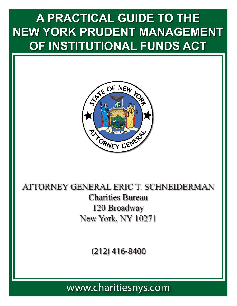# **A PRACTICAL GUIDE TO THE NEW YORK PRUDENT MANAGEMENT OF INSTITUTIONAL FUNDS ACT**



# ATTORNEY GENERAL ERIC T. SCHNEIDERMAN Charities Bureau 120 Broadway New York, NY 10271

(212) 416-8400

www.charitiesnys.com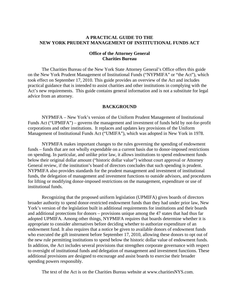#### **A PRACTICAL GUIDE TO THE NEW YORK PRUDENT MANAGEMENT OF INSTITUTIONAL FUNDS ACT**

#### **Office of the Attorney General Charities Bureau**

 The Charities Bureau of the New York State Attorney General's Office offers this guide on the New York Prudent Management of Institutional Funds ("NYPMIFA" or "the Act"), which took effect on September 17, 2010. This guide provides an overview of the Act and includes practical guidance that is intended to assist charities and other institutions in complying with the Act's new requirements. This guide contains general information and is not a substitute for legal advice from an attorney.

#### **BACKGROUND**

 NYPMIFA – New York's version of the Uniform Prudent Management of Institutional Funds Act ("UPMIFA") – governs the management and investment of funds held by not-for-profit corporations and other institutions. It replaces and updates key provisions of the Uniform Management of Institutional Funds Act ("UMIFA"), which was adopted in New York in 1978.

NYPMIFA makes important changes to the rules governing the spending of endowment funds – funds that are not wholly expendable on a current basis due to donor-imposed restrictions on spending. In particular, and unlike prior law, it allows institutions to spend endowment funds below their original dollar amount ("historic dollar value") without court approval or Attorney General review, if the institution's board of directors concludes that such spending is prudent. NYPMIFA also provides standards for the prudent management and investment of institutional funds, the delegation of management and investment functions to outside advisors, and procedures for lifting or modifying donor-imposed restrictions on the management, expenditure or use of institutional funds.

Recognizing that the proposed uniform legislation (UPMIFA) gives boards of directors broader authority to spend donor-restricted endowment funds than they had under prior law, New York's version of the legislation built in additional requirements for institutions and their boards and additional protections for donors – provisions unique among the 47 states that had thus far adopted UPMIFA. Among other things, NYPMIFA requires that boards determine whether it is appropriate to consider alternatives before deciding whether to authorize expenditure of an endowment fund. It also requires that a notice be given to available donors of endowment funds who executed the gift instrument before September 17, 2010, allowing these donors to opt out of the new rule permitting institutions to spend below the historic dollar value of endowment funds. In addition, the Act includes several provisions that strengthen corporate governance with respect to oversight of institutional funds and delegation of management and investment functions. These additional provisions are designed to encourage and assist boards to exercise their broader spending powers responsibly.

The text of the Act is on the Charities Bureau website at www.charitiesNYS.com.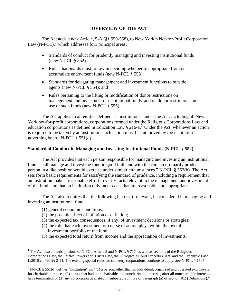# **OVERVIEW OF THE ACT**

The Act adds a new Article, 5-A (§§ 550-558), to New York's Not-for-Profit Corporation Law  $(N\text{-}PCL)$ ,<sup>[1](#page-2-0)</sup> which addresses four principal areas:

- Standards of conduct for prudently managing and investing institutional funds (new N-PCL § 552);
- Rules that boards must follow in deciding whether to appropriate from or accumulate endowment funds (new N-PCL § 553);
- Standards for delegating management and investment functions to outside agents (new N-PCL § 554); and
- Rules pertaining to the lifting or modification of donor restrictions on management and investment of institutional funds, and on donor restrictions on use of such funds (new N-PCL § 555).

The Act applies to all entities defined as "institutions" under the Act, including all New York not-for-profit corporations, corporations formed under the Religious Corporations Law and education corporations as defined in Education Law  $\S 216$  $\S 216$  $\S 216$ -a.<sup>2</sup> Under the Act, whenever an action is required to be taken by an institution, such action must be authorized by the institution's governing board. N-PCL § 551(d).

#### **Standard of Conduct in Managing and Investing Institutional Funds (N-PCL § 552)**

The Act provides that each person responsible for managing and investing an institutional fund "shall manage and invest the fund in good faith and with the care an ordinarily prudent person in a like position would exercise under similar circumstances." N-PCL § 552(b). The Act sets forth basic requirements for satisfying the standard of prudence, including a requirement that an institution make a reasonable effort to verify facts relevant to the management and investment of the fund, and that an institution only incur costs that are reasonable and appropriate.

 The Act also requires that the following factors, if relevant, be considered in managing and investing an institutional fund:

(1) general economic conditions;

 $\overline{a}$ 

- (2) the possible effect of inflation or deflation;
- (3) the expected tax consequences, if any, of investment decisions or strategies;
- (4) the role that each investment or course of action plays within the overall investment portfolio of the fund;
- (5) the expected total return from income and the appreciation of investments;

<span id="page-2-0"></span><sup>&</sup>lt;sup>1</sup> The Act also amends portions of N-PCL Article 5 and N-PCL  $\S$  717, as well as sections of the Religious Corporations Law, the Estates Powers and Trusts Law, the Surrogate's Court Procedure Act, and the Executive Law. L.2010 ch.490 §§ 2-14. The existing special rules for cemetery corporations continue to apply. *See* N-PCL § 1507.

<span id="page-2-1"></span><sup>&</sup>lt;sup>2</sup> N-PCL § 551(d) defines "institution" as: "(1) a person, other than an individual, organized and operated exclusively for charitable purposes; (2) a trust that had both charitable and noncharitable interests, after all noncharitable interests have terminated; or (3) any corporation described in subparagraph five of paragraph (a) of section 102 (Definitions)."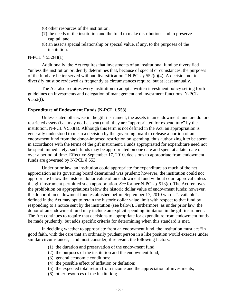- (6) other resources of the institution;
- (7) the needs of the institution and the fund to make distributions and to preserve capital; and
- (8) an asset's special relationship or special value, if any, to the purposes of the institution.

#### N-PCL § 552(e)(1).

 Additionally, the Act requires that investments of an institutional fund be diversified "unless the institution prudently determines that, because of special circumstances, the purposes of the fund are better served without diversification." N-PCL § 552(e)(4). A decision not to diversify must be reviewed as frequently as circumstances require, but at least annually.

 The Act also requires every institution to adopt a written investment policy setting forth guidelines on investments and delegation of management and investment functions. N-PCL § 552(f).

#### **Expenditure of Endowment Funds (N-PCL § 553)**

 Unless stated otherwise in the gift instrument, the assets in an endowment fund are donorrestricted assets (*i.e.*, may not be spent) until they are "appropriated for expenditure" by the institution. N-PCL § 553(a). Although this term is not defined in the Act, an appropriation is generally understood to mean a decision by the governing board to release a portion of an endowment fund from the donor-imposed restriction on spending, thus authorizing it to be spent in accordance with the terms of the gift instrument. Funds appropriated for expenditure need not be spent immediately; such funds may be appropriated on one date and spent at a later date or over a period of time. Effective September 17, 2010, decisions to appropriate from endowment funds are governed by N-PCL § 553.

 Under prior law, an institution could appropriate for expenditure so much of the net appreciation as its governing board determined was prudent; however, the institution could not appropriate below the historic dollar value of an endowment fund without court approval unless the gift instrument permitted such appropriation. *See* former N-PCL § 513(c). The Act removes the prohibition on appropriations below the historic dollar value of endowment funds; however, the donor of an endowment fund established before September 17, 2010 who is "available" as defined in the Act may opt to retain the historic dollar value limit with respect to that fund by responding to a notice sent by the institution (see below). Furthermore, as under prior law, the donor of an endowment fund may include an explicit spending limitation in the gift instrument. The Act continues to require that decisions to appropriate for expenditure from endowment funds be made prudently, but adds specific criteria for determining when this standard is met.

 In deciding whether to appropriate from an endowment fund, the institution must act "in good faith, with the care that an ordinarily prudent person in a like position would exercise under similar circumstances," and must consider, if relevant, the following factors:

- (1) the duration and preservation of the endowment fund;
- (2) the purposes of the institution and the endowment fund;
- (3) general economic conditions;
- (4) the possible effect of inflation or deflation;
- (5) the expected total return from income and the appreciation of investments;
- (6) other resources of the institution;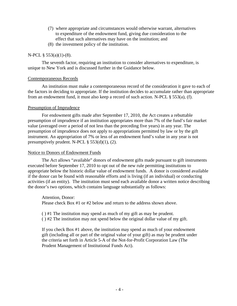- (7) where appropriate and circumstances would otherwise warrant, alternatives to expenditure of the endowment fund, giving due consideration to the effect that such alternatives may have on the institution; and
- (8) the investment policy of the institution.

# N-PCL § 553(a)(1)-(8).

 The seventh factor, requiring an institution to consider alternatives to expenditure, is unique to New York and is discussed further in the Guidance below.

# Contemporaneous Records

 An institution must make a contemporaneous record of the consideration it gave to each of the factors in deciding to appropriate. If the institution decides to accumulate rather than appropriate from an endowment fund, it must also keep a record of such action. N-PCL § 553(a), (f).

# Presumption of Imprudence

 For endowment gifts made after September 17, 2010, the Act creates a rebuttable presumption of imprudence if an institution appropriates more than 7% of the fund's fair market value (averaged over a period of not less than the preceding five years) in any year. The presumption of imprudence does not apply to appropriations permitted by law or by the gift instrument. An appropriation of 7% or less of an endowment fund's value in any year is not presumptively prudent. N-PCL  $\S$  553(d)(1), (2).

# Notice to Donors of Endowment Funds

The Act allows "available" donors of endowment gifts made pursuant to gift instruments executed before September 17, 2010 to opt out of the new rule permitting institutions to appropriate below the historic dollar value of endowment funds. A donor is considered available if the donor can be found with reasonable efforts and is living (if an individual) or conducting activities (if an entity). The institution must send each available donor a written notice describing the donor's two options, which contains language substantially as follows:

Attention, Donor: Please check Box #1 or #2 below and return to the address shown above.

( ) #1 The institution may spend as much of my gift as may be prudent.

( ) #2 The institution may not spend below the original dollar value of my gift.

If you check Box #1 above, the institution may spend as much of your endowment gift (including all or part of the original value of your gift) as may be prudent under the criteria set forth in Article 5-A of the Not-for-Profit Corporation Law (The Prudent Management of Institutional Funds Act).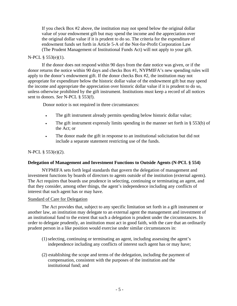If you check Box #2 above, the institution may not spend below the original dollar value of your endowment gift but may spend the income and the appreciation over the original dollar value if it is prudent to do so. The criteria for the expenditure of endowment funds set forth in Article 5-A of the Not-for-Profit Corporation Law (The Prudent Management of Institutional Funds Act) will not apply to your gift.

# N-PCL § 553(e)(1).

 If the donor does not respond within 90 days from the date notice was given, or if the donor returns the notice within 90 days and checks Box #1, NYPMIFA's new spending rules will apply to the donor's endowment gift. If the donor checks Box #2, the institution may not appropriate for expenditure below the historic dollar value of the endowment gift but may spend the income and appropriate the appreciation over historic dollar value if it is prudent to do so, unless otherwise prohibited by the gift instrument. Institutions must keep a record of all notices sent to donors. *See* N-PCL § 553(f).

Donor notice is not required in three circumstances:

- The gift instrument already permits spending below historic dollar value;
- The gift instrument expressly limits spending in the manner set forth in § 553(b) of the Act; or
- The donor made the gift in response to an institutional solicitation but did not include a separate statement restricting use of the funds.

# N-PCL § 553(e)(2).

#### **Delegation of Management and Investment Functions to Outside Agents (N-PCL § 554)**

NYPMIFA sets forth legal standards that govern the delegation of management and investment functions by boards of directors to agents outside of the institution (external agents). The Act requires that boards use prudence in selecting, continuing or terminating an agent, and that they consider, among other things, the agent's independence including any conflicts of interest that such agent has or may have.

#### Standard of Care for Delegation

 The Act provides that, subject to any specific limitation set forth in a gift instrument or another law, an institution may delegate to an external agent the management and investment of an institutional fund to the extent that such a delegation is prudent under the circumstances. In order to delegate prudently, an institution must act in good faith, with the care that an ordinarily prudent person in a like position would exercise under similar circumstances in:

- (1) selecting, continuing or terminating an agent, including assessing the agent's independence including any conflicts of interest such agent has or may have;
- (2) establishing the scope and terms of the delegation, including the payment of compensation, consistent with the purposes of the institution and the institutional fund; and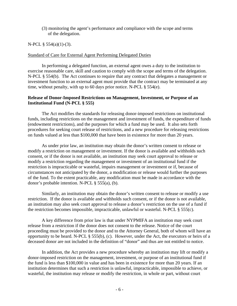(3) monitoring the agent's performance and compliance with the scope and terms of the delegation.

N-PCL § 554(a)(1)-(3).

#### Standard of Care for External Agent Performing Delegated Duties

 In performing a delegated function, an external agent owes a duty to the institution to exercise reasonable care, skill and caution to comply with the scope and terms of the delegation. N-PCL § 554(b). The Act continues to require that any contract that delegates a management or investment function to an external agent must provide that the contract may be terminated at any time, without penalty, with up to 60 days prior notice. N-PCL § 554(e).

### **Release of Donor-Imposed Restrictions on Management, Investment, or Purpose of an Institutional Fund (N-PCL § 555)**

 The Act modifies the standards for releasing donor-imposed restrictions on institutional funds, including restrictions on the management and investment of funds, the expenditure of funds (endowment restrictions), and the purposes for which a fund may be used. It also sets forth procedures for seeking court release of restrictions, and a new procedure for releasing restrictions on funds valued at less than \$100,000 that have been in existence for more than 20 years.

As under prior law, an institution may obtain the donor's written consent to release or modify a restriction on management or investment. If the donor is available and withholds such consent, or if the donor is not available, an institution may seek court approval to release or modify a restriction regarding the management or investment of an institutional fund if the restriction is impracticable or wasteful, impairs management or investment or if, because of circumstances not anticipated by the donor, a modification or release would further the purposes of the fund. To the extent practicable, any modification must be made in accordance with the donor's probable intention. N-PCL § 555(a), (b).

 Similarly, an institution may obtain the donor's written consent to release or modify a use restriction. If the donor is available and withholds such consent, or if the donor is not available, an institution may also seek court approval to release a donor's restriction on the use of a fund if the restriction becomes impossible, impracticable, unlawful or wasteful. N-PCL § 555(c).

A key difference from prior law is that under NYPMIFA an institution may seek court release from a restriction if the donor does not consent to the release. Notice of the court proceeding must be provided to the donor and to the Attorney General, both of whom will have an opportunity to be heard. N-PCL § 555(b), (c). However, under the Act, the executors or heirs of a deceased donor are not included in the definition of "donor" and thus are not entitled to notice.

In addition, the Act provides a new procedure whereby an institution may lift or modify a donor-imposed restriction on the management, investment, or purpose of an institutional fund if the fund is less than \$100,000 in value and has been in existence for more than 20 years. If an institution determines that such a restriction is unlawful, impracticable, impossible to achieve, or wasteful, the institution may release or modify the restriction, in whole or part, without court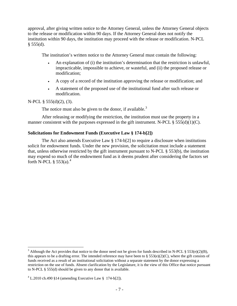approval, after giving written notice to the Attorney General, unless the Attorney General objects to the release or modification within 90 days. If the Attorney General does not notify the institution within 90 days, the institution may proceed with the release or modification. N-PCL  $§$  555(d).

The institution's written notice to the Attorney General must contain the following:

- An explanation of (i) the institution's determination that the restriction is unlawful, impracticable, impossible to achieve, or wasteful, and (ii) the proposed release or modification;
- A copy of a record of the institution approving the release or modification; and
- A statement of the proposed use of the institutional fund after such release or modification.

#### N-PCL § 555(d)(2), (3).

1

The notice must also be given to the donor, if available.<sup>[3](#page-7-0)</sup>

After releasing or modifying the restriction, the institution must use the property in a manner consistent with the purposes expressed in the gift instrument. N-PCL  $\S 555(d)(1)(C)$ .

#### **Solicitations for Endowment Funds (Executive Law § 174-b[2])**

 The Act also amends Executive Law § 174-b[2] to require a disclosure when institutions solicit for endowment funds. Under the new provision, the solicitation must include a statement that, unless otherwise restricted by the gift instrument pursuant to N-PCL § 553(b), the institution may expend so much of the endowment fund as it deems prudent after considering the factors set forth N-PCL  $\frac{6}{3}$  553(a).<sup>[4](#page-7-1)</sup>

<span id="page-7-0"></span><sup>&</sup>lt;sup>3</sup> Although the Act provides that notice to the donor need not be given for funds described in N-PCL § 553(e)(2)(B), this appears to be a drafting error. The intended reference may have been to  $\S 553(e)(2)(C)$ , where the gift consists of funds received as a result of an institutional solicitation without a separate statement by the donor expressing a restriction on the use of funds. Absent clarification by the Legislature, it is the view of this Office that notice pursuant to N-PCL § 555(d) should be given to any donor that is available.

<span id="page-7-1"></span> $4$  L.2010 ch.490 §14 (amending Executive Law § 174-b[2]).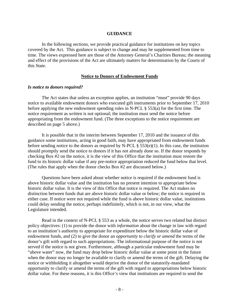#### **GUIDANCE**

 In the following sections, we provide practical guidance for institutions on key topics covered by the Act. This guidance is subject to change and may be supplemented from time to time. The views expressed here are those of the Attorney General's Charities Bureau; the meaning and effect of the provisions of the Act are ultimately matters for determination by the Courts of this State.

#### **Notice to Donors of Endowment Funds**

#### *Is notice to donors required?*

The Act states that unless an exception applies, an institution "must" provide 90 days notice to available endowment donors who executed gift instruments prior to September 17, 2010 before applying the new endowment spending rules in N-PCL § 553(a) for the first time. The notice requirement as written is not optional; the institution must send the notice before appropriating from the endowment fund. (The three exceptions to the notice requirement are described on page 5 above.)

 It is possible that in the interim between September 17, 2010 and the issuance of this guidance some institutions, acting in good faith, may have appropriated from endowment funds before sending notice to the donors as required by N-PCL  $\S$  553(e)(1). In this case, the institution should promptly send the notice to donors if it has not already done so. If the donor responds by checking Box #2 on the notice, it is the view of this Office that the institution must restore the fund to its historic dollar value if any pre-notice appropriation reduced the fund below that level. (The rules that apply when the donor checks Box #2 are discussed below.)

Questions have been asked about whether notice is required if the endowment fund is above historic dollar value and the institution has no present intention to appropriate below historic dollar value. It is the view of this Office that notice is required. The Act makes no distinction between funds that are above historic dollar value or below; the notice is required in either case. If notice were not required while the fund is above historic dollar value, institutions could delay sending the notice, perhaps indefinitely, which is not, in our view, what the Legislature intended.

 Read in the context of N-PCL § 553 as a whole, the notice serves two related but distinct policy objectives: (1) to provide the donor with *information* about the change in law with regard to an institution's authority to appropriate for expenditure below the historic dollar value of endowment funds, and (2) to give the donor an *opportunity to clarify or amend* the terms of the donor's gift with regard to such appropriations. The informational purpose of the notice is not served if the notice is not given. Furthermore, although a particular endowment fund may be "above water" now, the fund may drop below historic dollar value at some point in the future when the donor may no longer be available to clarify or amend the terms of the gift. Delaying the notice or withholding it altogether would deprive the donor of the statutorily-mandated opportunity to clarify or amend the terms of the gift with regard to appropriations below historic dollar value. For these reasons, it is this Office's view that institutions are required to send the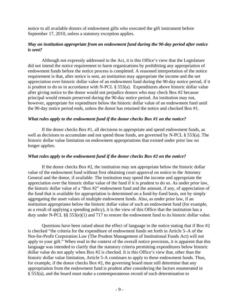notice to all available donors of endowment gifts who executed the gift instrument before September 17, 2010, unless a statutory exception applies.

# *May an institution appropriate from an endowment fund during the 90-day period after notice is sent?*

 Although not expressly addressed in the Act, it is this Office's view that the Legislature did not intend the notice requirement to harm organizations by prohibiting any appropriation of endowment funds before the notice process is completed. A reasoned interpretation of the notice requirement is that, after notice is sent, an institution may appropriate the income and the net appreciation over historic dollar value of an endowment fund during the 90-day notice period, if it is prudent to do so in accordance with N-PCL § 553(a). Expenditures above historic dollar value after giving notice to the donor would not prejudice donors who may check Box #2 because principal would remain preserved during the 90-day notice period. An institution may not, however, appropriate for expenditure below the historic dollar value of an endowment fund until the 90-day notice period ends, unless the donor has returned the notice and checked Box #1.

#### *What rules apply to the endowment fund if the donor checks Box #1 on the notice?*

 If the donor checks Box #1, all decisions to appropriate and spend endowment funds, as well as decisions to accumulate and not spend those funds, are governed by N-PCL § 553(a). The historic dollar value limitation on endowment appropriations that existed under prior law no longer applies.

#### *What rules apply to the endowment fund if the donor checks Box #2 on the notice?*

 If the donor checks Box #2, the institution may not appropriate below the historic dollar value of the endowment fund without first obtaining court approval on notice to the Attorney General and the donor, if available. The institution may spend the income and appropriate the appreciation over the historic dollar value of the fund if it is prudent to do so. As under prior law, the historic dollar value of a "Box #2" endowment fund and the amount, if any, of appreciation of the fund that is available for appropriation is determined on a fund-by-fund basis, not by simply aggregating the asset values of multiple endowment funds. Also, as under prior law, if an institution appropriates below the historic dollar value of such an endowment fund (for example, as a result of applying a spending policy), it is the view of this Office that the institution has a duty under N-PCL §§ 553(e)(1) and 717 to restore the endowment fund to its historic dollar value.

 Questions have been raised about the effect of language in the notice stating that if Box #2 is checked "the criteria for the expenditure of endowment funds set forth in Article 5–A of the Not-for-Profit Corporation Law (The Prudent Management of Institutional Funds Act) will not apply to your gift." When read in the context of the overall notice provision, it is apparent that this language was intended to clarify that the statutory criteria permitting expenditures below historic dollar value do not apply when Box #2 is checked. It is this Office's view that, other than the historic dollar value limitation, Article 5-A continues to apply to these endowment funds. Thus, for example, if the donor checks Box #2, the governing board must still determine that any appropriation from the endowment fund is prudent after considering the factors enumerated in § 553(a), and the board must make a contemporaneous record of each determination to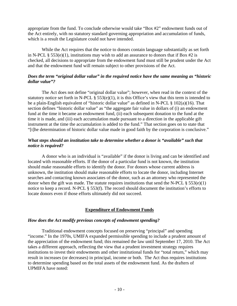appropriate from the fund. To conclude otherwise would take "Box #2" endowment funds out of the Act entirely, with no statutory standard governing appropriation and accumulation of funds, which is a result the Legislature could not have intended.

 While the Act requires that the notice to donors contain language substantially as set forth in N-PCL § 553(e)(1), institutions may wish to add an assurance to donors that if Box  $#2$  is checked, all decisions to appropriate from the endowment fund must still be prudent under the Act and that the endowment fund will remain subject to other provisions of the Act.

# *Does the term "original dollar value" in the required notice have the same meaning as "historic dollar value"?*

 The Act does not define "original dollar value"; however, when read in the context of the statutory notice set forth in N-PCL  $\S$  553(e)(1), it is this Office's view that this term is intended to be a plain-English equivalent of "historic dollar value" as defined in N-PCL § 102(a)(16). That section defines "historic dollar value" as "the aggregate fair value in dollars of (i) an endowment fund at the time it became an endowment fund, (ii) each subsequent donation to the fund at the time it is made, and (iii) each accumulation made pursuant to a direction in the applicable gift instrument at the time the accumulation is added to the fund." That section goes on to state that "[t]he determination of historic dollar value made in good faith by the corporation is conclusive."

# *What steps should an institution take to determine whether a donor is "available" such that notice is required?*

 A donor who is an individual is "available" if the donor is living and can be identified and located with reasonable efforts. If the donor of a particular fund is not known, the institution should make reasonable efforts to identify the donor. For donors whose current address is unknown, the institution should make reasonable efforts to locate the donor, including Internet searches and contacting known associates of the donor, such as an attorney who represented the donor when the gift was made. The statute requires institutions that send the N-PCL  $\S 553(e)(1)$ notice to keep a record. N-PCL § 553(f). The record should document the institution's efforts to locate donors even if those efforts ultimately did not succeed.

# **Expenditure of Endowment Funds**

#### *How does the Act modify previous concepts of endowment spending?*

 Traditional endowment concepts focused on preserving "principal" and spending "income." In the 1970s, UMIFA expanded permissible spending to include a prudent amount of the appreciation of the endowment fund; this remained the law until September 17, 2010. The Act takes a different approach, reflecting the view that a prudent investment strategy requires institutions to invest their endowments and other institutional funds for "total return," which may result in increases (or decreases) in principal, income or both. The Act thus requires institutions to determine spending based on the total assets of the endowment fund. As the drafters of UPMIFA have noted: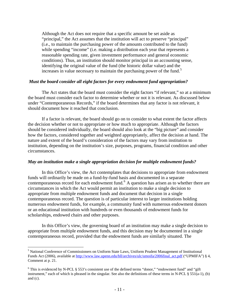Although the Act does not require that a specific amount be set aside as "principal," the Act assumes that the institution will act to preserve "principal" (i.e., to maintain the purchasing power of the amounts contributed to the fund) while spending "income" (i.e. making a distribution each year that represents a reasonable spending rate, given investment performance and general economic conditions). Thus, an institution should monitor principal in an accounting sense, identifying the original value of the fund (the historic dollar value) and the increases in value necessary to maintain the purchasing power of the fund. $\delta$ 

#### *Must the board consider all eight factors for every endowment fund appropriation?*

 The Act states that the board must consider the eight factors "if relevant," so at a minimum the board must consider each factor to determine whether or not it is relevant. As discussed below under "Contemporaneous Records," if the board determines that any factor is not relevant, it should document how it reached that conclusion.

 If a factor is relevant, the board should go on to consider to what extent the factor affects the decision whether or not to appropriate or how much to appropriate. Although the factors should be considered individually, the board should also look at the "big picture" and consider how the factors, considered together and weighted appropriately, affect the decision at hand. The nature and extent of the board's consideration of the factors may vary from institution to institution, depending on the institution's size, purposes, programs, financial condition and other circumstances.

#### *May an institution make a single appropriation decision for multiple endowment funds?*

In this Office's view, the Act contemplates that decisions to appropriate from endowment funds will ordinarily be made on a fund-by-fund basis and documented in a separate contemporaneous record for each endowment fund.<sup>[6](#page-11-1)</sup> A question has arisen as to whether there are circumstances in which the Act would permit an institution to make a single decision to appropriate from multiple endowment funds and document that decision in a single contemporaneous record. The question is of particular interest to larger institutions holding numerous endowment funds, for example, a community fund with numerous endowment donors or an educational institution with hundreds or even thousands of endowment funds for scholarships, endowed chairs and other purposes.

In this Office's view, the governing board of an institution may make a single decision to appropriate from multiple endowment funds, and this decision may be documented in a single contemporaneous record, provided that the endowment funds are similarly situated. The

 $\overline{a}$ 

<span id="page-11-0"></span><sup>&</sup>lt;sup>5</sup> National Conference of Commissioners on Uniform State Laws, Uniform Prudent Management of Institutional Funds Act (2006), available at [http://www.law.upenn.edu/bll/archives/ulc/umoifa/2006final\\_act.pdf](http://www.law.upenn.edu/bll/archives/ulc/umoifa/2006final_act.pdf) ("UPMIFA") § 4, Comment at p. 21.

<span id="page-11-1"></span> $6$  This is evidenced by N-PCL § 553's consistent use of the defined terms "donor," "endowment fund" and "gift instrument," each of which is phrased in the singular. See also the definitions of these terms in N-PCL  $\S 551(a-1)$ , (b) and (c).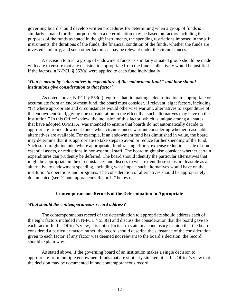governing board should develop written procedures for determining when a group of funds is similarly situated for this purpose. Such a determination may be based on factors including the purposes of the funds as stated in the gift instruments, the spending restrictions imposed in the gift instruments, the durations of the funds, the financial condition of the funds, whether the funds are invested similarly, and such other factors as may be relevant under the circumstances.

A decision to treat a group of endowment funds as similarly situated group should be made with care to ensure that any decision to appropriate from the funds collectively would be justified if the factors in N-PCL § 553(a) were applied to each fund individually.

# *What is meant by "alternatives to expenditure of the endowment fund," and how should institutions give consideration to that factor?*

 As noted above, N-PCL § 553(a) requires that, in making a determination to appropriate or accumulate from an endowment fund, the board must consider, if relevant, eight factors, including "(7) where appropriate and circumstances would otherwise warrant, alternatives to expenditure of the endowment fund, giving due consideration to the effect that such alternatives may have on the institution." In this Office's view, the inclusion of this factor, which is unique among all states that have adopted UPMIFA, was intended to ensure that boards do not automatically decide to appropriate from endowment funds when circumstances warrant considering whether reasonable alternatives are available. For example, if an endowment fund has diminished in value, the board may determine that it is appropriate to take steps to avoid or reduce further spending of the fund. Such steps might include, where appropriate, fund-raising efforts, expense reductions, sale of nonessential assets, or reductions in non-essential staff. The board might also consider whether certain expenditures can prudently be deferred. The board should identify the particular alternatives that might be appropriate in the circumstances and discuss to what extent these steps are feasible as an alternative to endowment spending, including what impact such alternatives would have on the institution's operations and programs. The consideration of alternatives should be appropriately documented (see "Contemporaneous Records," below).

# **Contemporaneous Records of the Determination to Appropriate**

#### *What should the contemporaneous record address?*

 The contemporaneous record of the determination to appropriate should address each of the eight factors included in N-PCL § 553(a) and discuss the consideration that the board gave to each factor. In this Office's view, it is not sufficient to state in a conclusory fashion that the board considered a particular factor; rather, the record should describe the substance of the consideration given to each factor. If any factor was deemed not relevant to the board's decision, the record should explain why.

 As stated above, if the governing board of an institution makes a single decision to appropriate from multiple endowment funds that are similarly situated, it is this Office's view that the decision may be documented in one contemporaneous record.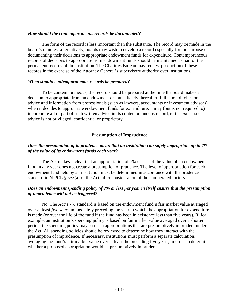#### *How should the contemporaneous records be documented?*

 The form of the record is less important than the substance. The record may be made in the board's minutes; alternatively, boards may wish to develop a record especially for the purpose of documenting their decisions to appropriate endowment funds for expenditure. Contemporaneous records of decisions to appropriate from endowment funds should be maintained as part of the permanent records of the institution. The Charities Bureau may request production of these records in the exercise of the Attorney General's supervisory authority over institutions.

#### *When should contemporaneous records be prepared?*

 To be contemporaneous, the record should be prepared at the time the board makes a decision to appropriate from an endowment or immediately thereafter. If the board relies on advice and information from professionals (such as lawyers, accountants or investment advisors) when it decides to appropriate endowment funds for expenditure, it may (but is not required to) incorporate all or part of such written advice in its contemporaneous record, to the extent such advice is not privileged, confidential or proprietary.

# **Presumption of Imprudence**

# *Does the presumption of imprudence mean that an institution can safely appropriate up to 7% of the value of its endowment funds each year?*

 The Act makes it clear that an appropriation of 7% or less of the value of an endowment fund in any year does not create a presumption of prudence. The level of appropriation for each endowment fund held by an institution must be determined in accordance with the prudence standard in N-PCL § 553(a) of the Act, after consideration of the enumerated factors.

# *Does an endowment spending policy of 7% or less per year in itself ensure that the presumption of imprudence will not be triggered?*

 No. The Act's 7% standard is based on the endowment fund's fair market value averaged over at least *five years* immediately preceding the year in which the appropriation for expenditure is made (or over the life of the fund if the fund has been in existence less than five years). If, for example, an institution's spending policy is based on fair market value averaged over a shorter period, the spending policy may result in appropriations that are presumptively imprudent under the Act. All spending policies should be reviewed to determine how they interact with the presumption of imprudence. If necessary, institutions must perform a separate calculation, averaging the fund's fair market value over at least the preceding five years, in order to determine whether a proposed appropriation would be presumptively imprudent.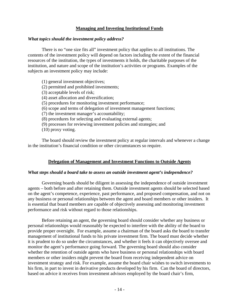# **Managing and Investing Institutional Funds**

#### *What topics should the investment policy address?*

 There is no "one size fits all" investment policy that applies to all institutions. The contents of the investment policy will depend on factors including the extent of the financial resources of the institution, the types of investments it holds, the charitable purposes of the institution, and nature and scope of the institution's activities or programs. Examples of the subjects an investment policy may include:

(1) general investment objectives; (2) permitted and prohibited investments; (3) acceptable levels of risk; (4) asset allocation and diversification; (5) procedures for monitoring investment performance; (6) scope and terms of delegation of investment management functions; (7) the investment manager's accountability; (8) procedures for selecting and evaluating external agents; (9) processes for reviewing investment policies and strategies; and (10) proxy voting.

 The board should review the investment policy at regular intervals and whenever a change in the institution's financial condition or other circumstances so require.

#### **Delegation of Management and Investment Functions to Outside Agents**

#### *What steps should a board take to assess an outside investment agent's independence?*

 Governing boards should be diligent in assessing the independence of outside investment agents – both before and after retaining them. Outside investment agents should be selected based on the agent's competence, experience, past performance, and proposed compensation, and not on any business or personal relationships between the agent and board members or other insiders. It is essential that board members are capable of objectively assessing and monitoring investment performance and risk without regard to those relationships.

 Before retaining an agent, the governing board should consider whether any business or personal relationships would reasonably be expected to interfere with the ability of the board to provide proper oversight. For example, assume a chairman of the board asks the board to transfer management of institutional funds to his private investment firm. The board must decide whether it is prudent to do so under the circumstances, and whether it feels it can objectively oversee and monitor the agent's performance going forward. The governing board should also consider whether the retention of outside agents who have business or personal relationships with board members or other insiders might prevent the board from receiving independent advice on investment strategy and risk. For example, assume the board chair wishes to switch investments to his firm, in part to invest in derivative products developed by his firm. Can the board of directors, based on advice it receives from investment advisors employed by the board chair's firm,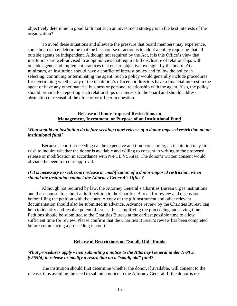objectively determine in good faith that such an investment strategy is in the best interests of the organization?

 To avoid these situations and alleviate the pressure that board members may experience, some boards may determine that the best course of action is to adopt a policy requiring that all outside agents be independent. Although not required by the Act, it is this Office's view that institutions are well-advised to adopt policies that require full disclosure of relationships with outside agents and implement practices that ensure objective oversight by the board. At a minimum, an institution should have a conflict of interest policy and follow the policy in selecting, continuing or terminating the agent. Such a policy would generally include procedures for determining whether any of the institution's officers or directors have a financial interest in the agent or have any other material business or personal relationship with the agent. If so, the policy should provide for reporting such relationships or interests to the board and should address abstention or recusal of the director or officer in question.

# **Release of Donor-Imposed Restrictions on Management, Investment, or Purpose of an Institutional Fund**

# *What should an institution do before seeking court release of a donor-imposed restriction on an institutional fund?*

 Because a court proceeding can be expensive and time-consuming, an institution may first wish to inquire whether the donor is available and willing to consent in writing to the proposed release or modification in accordance with N-PCL § 555(a). The donor's written consent would obviate the need for court approval.

# *If it is necessary to seek court release or modification of a donor-imposed restriction, when should the institution contact the Attorney General's Office?*

 Although not required by law, the Attorney General's Charities Bureau urges institutions and their counsel to submit a draft petition to the Charities Bureau for review and discussion before filing the petition with the court. A copy of the gift instrument and other relevant documentation should also be submitted in advance. Advance review by the Charities Bureau can help to identify and resolve potential issues, thus simplifying the proceeding and saving time. Petitions should be submitted to the Charities Bureau at the earliest possible time to allow sufficient time for review. Please confirm that the Charities Bureau's review has been completed before commencing a proceeding in court.

# **Release of Restrictions on "Small, Old" Funds**

# *What procedures apply when submitting a notice to the Attorney General under N-PCL § 555(d) to release or modify a restriction on a "small, old" fund?*

 The institution should first determine whether the donor, if available, will consent to the release, thus avoiding the need to submit a notice to the Attorney General. If the donor is not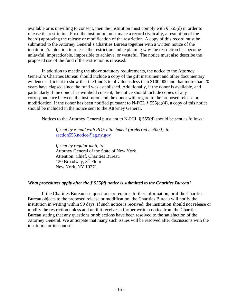available or is unwilling to consent, then the institution must comply with § 555(d) in order to release the restriction. First, the institution must make a record (typically, a resolution of the board) approving the release or modification of the restriction. A copy of this record must be submitted to the Attorney General's Charities Bureau together with a written notice of the institution's intention to release the restriction and explaining why the restriction has become unlawful, impracticable, impossible to achieve, or wasteful. The notice must also describe the proposed use of the fund if the restriction is released.

 In addition to meeting the above statutory requirements, the notice to the Attorney General's Charities Bureau should include a copy of the gift instrument and other documentary evidence sufficient to show that the fund's total value is less than \$100,000 and that more than 20 years have elapsed since the fund was established. Additionally, if the donor is available, and particularly if the donor has withheld consent, the notice should include copies of any correspondence between the institution and the donor with regard to the proposed release or modification. If the donor has been notified pursuant to N-PCL § 555(d)(4), a copy of this notice should be included in the notice sent to the Attorney General.

Notices to the Attorney General pursuant to N-PCL § 555(d) should be sent as follows:

*If sent by e-mail with PDF attachment (preferred method), to*: [section555.notice@ag.ny.gov](mailto:section555.notice@ag.ny.gov)

*If sent by regular mail, to*: Attorney General of the State of New York Attention: Chief, Charities Bureau 120 Broadway, 3rd Floor New York, NY 10271

# *What procedures apply after the § 555(d) notice is submitted to the Charities Bureau?*

 If the Charities Bureau has questions or requires further information, or if the Charities Bureau objects to the proposed release or modification, the Charities Bureau will notify the institution in writing within 90 days. If such notice is received, the institution should not release or modify the restriction unless and until it receives a further written notice from the Charities Bureau stating that any questions or objections have been resolved to the satisfaction of the Attorney General. We anticipate that many such issues will be resolved after discussions with the institution or its counsel.